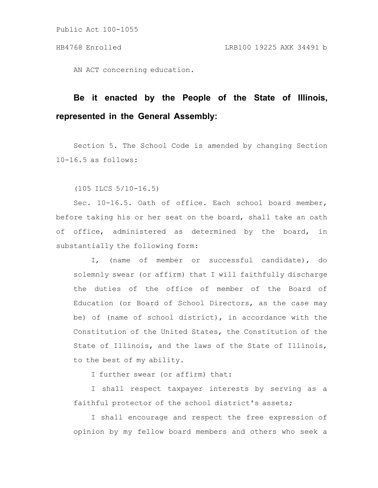Public Act 100-1055

AN ACT concerning education.

## **Be it enacted by the People of the State of Illinois, represented in the General Assembly:**

Section 5. The School Code is amended by changing Section 10-16.5 as follows:

(105 ILCS 5/10-16.5)

Sec. 10-16.5. Oath of office. Each school board member, before taking his or her seat on the board, shall take an oath of office, administered as determined by the board, in substantially the following form:

I, (name of member or successful candidate), do solemnly swear (or affirm) that I will faithfully discharge the duties of the office of member of the Board of Education (or Board of School Directors, as the case may be) of (name of school district), in accordance with the Constitution of the United States, the Constitution of the State of Illinois, and the laws of the State of Illinois, to the best of my ability.

I further swear (or affirm) that:

I shall respect taxpayer interests by serving as a faithful protector of the school district's assets;

I shall encourage and respect the free expression of opinion by my fellow board members and others who seek a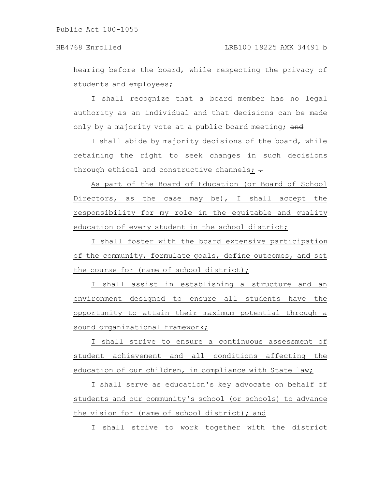Public Act 100-1055

hearing before the board, while respecting the privacy of students and employees;

I shall recognize that a board member has no legal authority as an individual and that decisions can be made only by a majority vote at a public board meeting; and

I shall abide by majority decisions of the board, while retaining the right to seek changes in such decisions through ethical and constructive channels;  $\div$ 

As part of the Board of Education (or Board of School Directors, as the case may be), I shall accept the responsibility for my role in the equitable and quality education of every student in the school district;

I shall foster with the board extensive participation of the community, formulate goals, define outcomes, and set the course for (name of school district);

I shall assist in establishing a structure and an environment designed to ensure all students have the opportunity to attain their maximum potential through a sound organizational framework;

I shall strive to ensure a continuous assessment of student achievement and all conditions affecting the education of our children, in compliance with State law;

I shall serve as education's key advocate on behalf of students and our community's school (or schools) to advance the vision for (name of school district); and

I shall strive to work together with the district